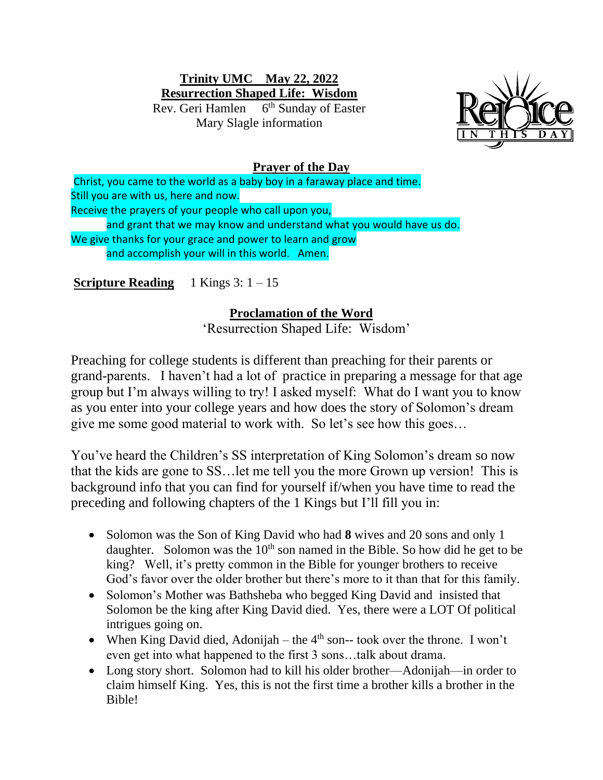## **Trinity UMC May 22, 2022 Resurrection Shaped Life: Wisdom**

Rev. Geri Hamlen 6<sup>th</sup> Sunday of Easter Mary Slagle information



## **Prayer of the Day**

Christ, you came to the world as a baby boy in a faraway place and time. Still you are with us, here and now. Receive the prayers of your people who call upon you, and grant that we may know and understand what you would have us do. We give thanks for your grace and power to learn and grow and accomplish your will in this world. Amen.

**Scripture Reading** 1 Kings 3: 1 – 15

## **Proclamation of the Word**

'Resurrection Shaped Life: Wisdom'

Preaching for college students is different than preaching for their parents or grand-parents. I haven't had a lot of practice in preparing a message for that age group but I'm always willing to try! I asked myself: What do I want you to know as you enter into your college years and how does the story of Solomon's dream give me some good material to work with. So let's see how this goes…

You've heard the Children's SS interpretation of King Solomon's dream so now that the kids are gone to SS…let me tell you the more Grown up version! This is background info that you can find for yourself if/when you have time to read the preceding and following chapters of the 1 Kings but I'll fill you in:

- Solomon was the Son of King David who had **8** wives and 20 sons and only 1 daughter. Solomon was the  $10<sup>th</sup>$  son named in the Bible. So how did he get to be king? Well, it's pretty common in the Bible for younger brothers to receive God's favor over the older brother but there's more to it than that for this family.
- Solomon's Mother was Bathsheba who begged King David and insisted that Solomon be the king after King David died. Yes, there were a LOT Of political intrigues going on.
- When King David died, Adonijah the  $4<sup>th</sup>$  son-- took over the throne. I won't even get into what happened to the first 3 sons…talk about drama.
- Long story short. Solomon had to kill his older brother—Adonijah—in order to claim himself King. Yes, this is not the first time a brother kills a brother in the Bible!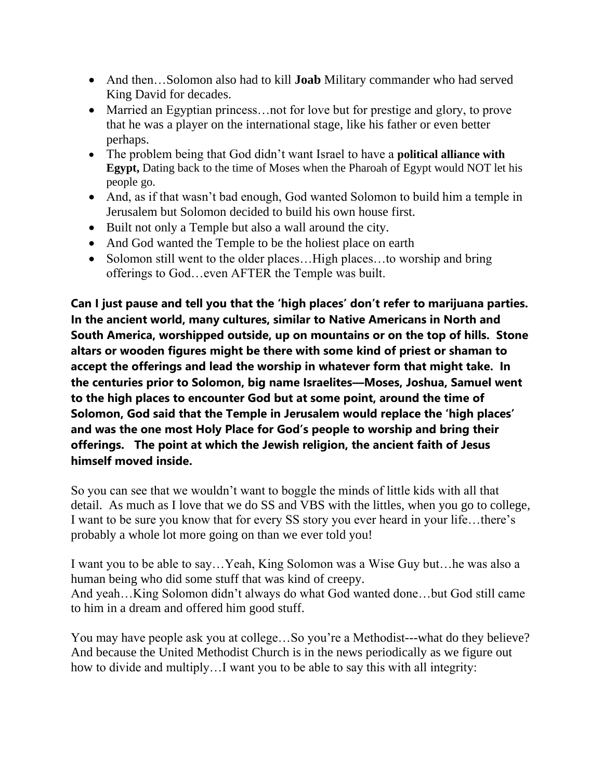- And then...Solomon also had to kill **Joab** Military commander who had served King David for decades.
- Married an Egyptian princess...not for love but for prestige and glory, to prove that he was a player on the international stage, like his father or even better perhaps.
- The problem being that God didn't want Israel to have a **political alliance with Egypt,** Dating back to the time of Moses when the Pharoah of Egypt would NOT let his people go.
- And, as if that wasn't bad enough, God wanted Solomon to build him a temple in Jerusalem but Solomon decided to build his own house first.
- Built not only a Temple but also a wall around the city.
- And God wanted the Temple to be the holiest place on earth
- Solomon still went to the older places... High places... to worship and bring offerings to God…even AFTER the Temple was built.

**Can I just pause and tell you that the 'high places' don't refer to marijuana parties. In the ancient world, many cultures, similar to Native Americans in North and South America, worshipped outside, up on mountains or on the top of hills. Stone altars or wooden figures might be there with some kind of priest or shaman to accept the offerings and lead the worship in whatever form that might take. In the centuries prior to Solomon, big name Israelites—Moses, Joshua, Samuel went to the high places to encounter God but at some point, around the time of Solomon, God said that the Temple in Jerusalem would replace the 'high places' and was the one most Holy Place for God's people to worship and bring their offerings. The point at which the Jewish religion, the ancient faith of Jesus himself moved inside.** 

So you can see that we wouldn't want to boggle the minds of little kids with all that detail. As much as I love that we do SS and VBS with the littles, when you go to college, I want to be sure you know that for every SS story you ever heard in your life…there's probably a whole lot more going on than we ever told you!

I want you to be able to say…Yeah, King Solomon was a Wise Guy but…he was also a human being who did some stuff that was kind of creepy. And yeah…King Solomon didn't always do what God wanted done…but God still came to him in a dream and offered him good stuff.

You may have people ask you at college…So you're a Methodist---what do they believe? And because the United Methodist Church is in the news periodically as we figure out how to divide and multiply…I want you to be able to say this with all integrity: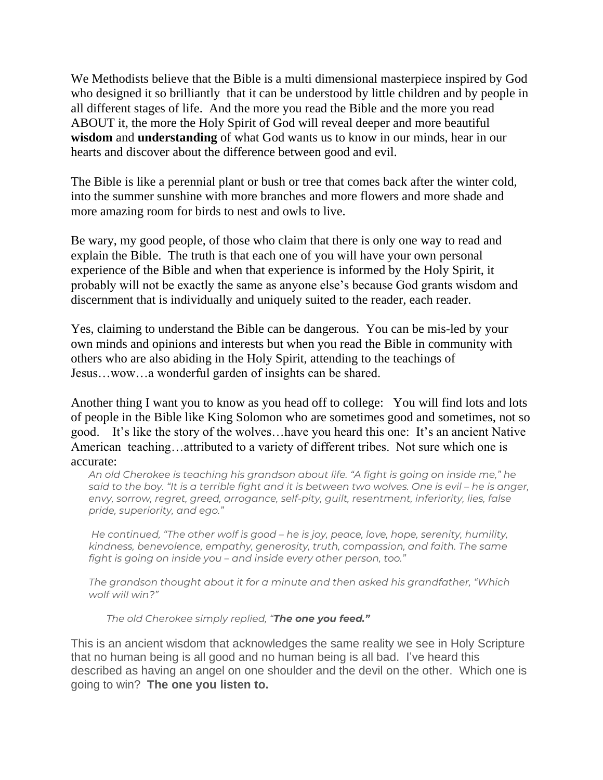We Methodists believe that the Bible is a multi dimensional masterpiece inspired by God who designed it so brilliantly that it can be understood by little children and by people in all different stages of life. And the more you read the Bible and the more you read ABOUT it, the more the Holy Spirit of God will reveal deeper and more beautiful **wisdom** and **understanding** of what God wants us to know in our minds, hear in our hearts and discover about the difference between good and evil.

The Bible is like a perennial plant or bush or tree that comes back after the winter cold, into the summer sunshine with more branches and more flowers and more shade and more amazing room for birds to nest and owls to live.

Be wary, my good people, of those who claim that there is only one way to read and explain the Bible. The truth is that each one of you will have your own personal experience of the Bible and when that experience is informed by the Holy Spirit, it probably will not be exactly the same as anyone else's because God grants wisdom and discernment that is individually and uniquely suited to the reader, each reader.

Yes, claiming to understand the Bible can be dangerous. You can be mis-led by your own minds and opinions and interests but when you read the Bible in community with others who are also abiding in the Holy Spirit, attending to the teachings of Jesus…wow…a wonderful garden of insights can be shared.

Another thing I want you to know as you head off to college: You will find lots and lots of people in the Bible like King Solomon who are sometimes good and sometimes, not so good. It's like the story of the wolves…have you heard this one: It's an ancient Native American teaching…attributed to a variety of different tribes. Not sure which one is accurate:

*An old Cherokee is teaching his grandson about life. "A fight is going on inside me," he* said to the boy. "It is a terrible fight and it is between two wolves. One is evil – he is anger, *envy, sorrow, regret, greed, arrogance, self-pity, guilt, resentment, inferiority, lies, false pride, superiority, and ego."*

*He continued, "The other wolf is good – he is joy, peace, love, hope, serenity, humility, kindness, benevolence, empathy, generosity, truth, compassion, and faith. The same fight is going on inside you – and inside every other person, too."*

*The grandson thought about it for a minute and then asked his grandfather, "Which wolf will win?"*

*The old Cherokee simply replied, "The one you feed."*

This is an ancient wisdom that acknowledges the same reality we see in Holy Scripture that no human being is all good and no human being is all bad. I've heard this described as having an angel on one shoulder and the devil on the other. Which one is going to win? **The one you listen to.**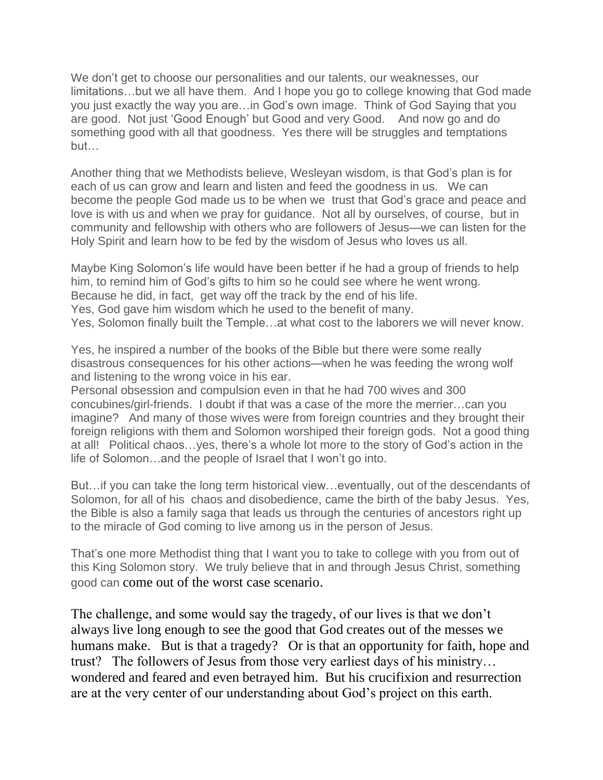We don't get to choose our personalities and our talents, our weaknesses, our limitations…but we all have them. And I hope you go to college knowing that God made you just exactly the way you are…in God's own image. Think of God Saying that you are good. Not just 'Good Enough' but Good and very Good. And now go and do something good with all that goodness. Yes there will be struggles and temptations but…

Another thing that we Methodists believe, Wesleyan wisdom, is that God's plan is for each of us can grow and learn and listen and feed the goodness in us. We can become the people God made us to be when we trust that God's grace and peace and love is with us and when we pray for guidance. Not all by ourselves, of course, but in community and fellowship with others who are followers of Jesus—we can listen for the Holy Spirit and learn how to be fed by the wisdom of Jesus who loves us all.

Maybe King Solomon's life would have been better if he had a group of friends to help him, to remind him of God's gifts to him so he could see where he went wrong. Because he did, in fact, get way off the track by the end of his life. Yes, God gave him wisdom which he used to the benefit of many. Yes, Solomon finally built the Temple…at what cost to the laborers we will never know.

Yes, he inspired a number of the books of the Bible but there were some really disastrous consequences for his other actions—when he was feeding the wrong wolf and listening to the wrong voice in his ear.

Personal obsession and compulsion even in that he had 700 wives and 300 concubines/girl-friends. I doubt if that was a case of the more the merrier…can you imagine? And many of those wives were from foreign countries and they brought their foreign religions with them and Solomon worshiped their foreign gods. Not a good thing at all! Political chaos…yes, there's a whole lot more to the story of God's action in the life of Solomon…and the people of Israel that I won't go into.

But…if you can take the long term historical view…eventually, out of the descendants of Solomon, for all of his chaos and disobedience, came the birth of the baby Jesus. Yes, the Bible is also a family saga that leads us through the centuries of ancestors right up to the miracle of God coming to live among us in the person of Jesus.

That's one more Methodist thing that I want you to take to college with you from out of this King Solomon story. We truly believe that in and through Jesus Christ, something good can come out of the worst case scenario.

The challenge, and some would say the tragedy, of our lives is that we don't always live long enough to see the good that God creates out of the messes we humans make. But is that a tragedy? Or is that an opportunity for faith, hope and trust? The followers of Jesus from those very earliest days of his ministry… wondered and feared and even betrayed him. But his crucifixion and resurrection are at the very center of our understanding about God's project on this earth.